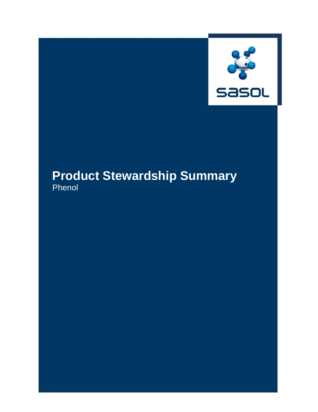

# **Product Stewardship Summary** Phenol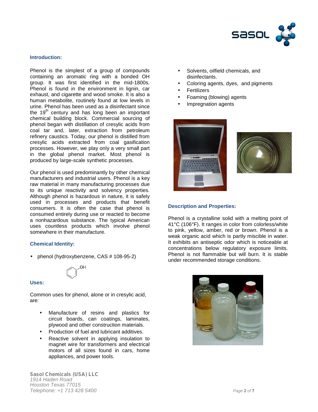

## **Introduction:**

Phenol is the simplest of a group of compounds containing an aromatic ring with a bonded OH group. It was first identified in the mid-1800s. Phenol is found in the environment in lignin, car exhaust, and cigarette and wood smoke. It is also a human metabolite, routinely found at low levels in urine. Phenol has been used as a disinfectant since the 19<sup>th</sup> century and has long been an important chemical building block. Commercial sourcing of phenol began with distillation of cresylic acids from coal tar and, later, extraction from petroleum refinery caustics. Today, our phenol is distilled from cresylic acids extracted from coal gasification processes. However, we play only a very small part in the global phenol market. Most phenol is produced by large-scale synthetic processes.

Our phenol is used predominantly by other chemical manufacturers and industrial users. Phenol is a key raw material in many manufacturing processes due to its unique reactivity and solvency properties. Although phenol is hazardous in nature, it is safely used in processes and products that benefit consumers. It is often the case that phenol is consumed entirely during use or reacted to become a nonhazardous substance. The typical American uses countless products which involve phenol somewhere in their manufacture.

#### **Chemical Identity:**

• phenol (hydroxybenzene, CAS # 108-95-2)



#### **Uses:**

Common uses for phenol, alone or in cresylic acid, are:

- Manufacture of resins and plastics for circuit boards, can coatings, laminates, plywood and other construction materials.
- Production of fuel and lubricant additives.
- Reactive solvent in applying insulation to magnet wire for transformers and electrical motors of all sizes found in cars, home appliances, and power tools.

*Sasol Chemicals (USA) LLC 1914 Haden Road Houston Texas 77015 Telephone: +1 713 428 5400 Page 2 of 7*

- Solvents, oilfield chemicals, and disinfectants.
- Coloring agents, dyes, and pigments
- Fertilizers
- Foaming (blowing) agents
- Impregnation agents





#### **Description and Properties:**

Phenol is a crystalline solid with a melting point of 41°C (106°F). It ranges in color from colorless/white to pink, yellow, amber, red or brown. Phenol is a weak organic acid which is partly miscible in water. It exhibits an antiseptic odor which is noticeable at concentrations below regulatory exposure limits. Phenol is not flammable but will burn. It is stable under recommended storage conditions.

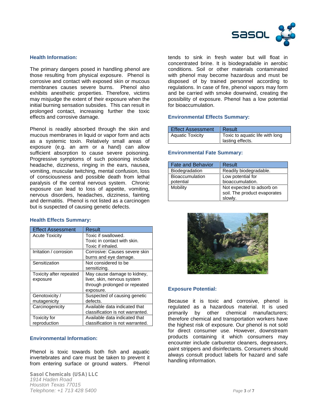

# **Health Information:**

The primary dangers posed in handling phenol are those resulting from physical exposure. Phenol is corrosive and contact with exposed skin or mucous membranes causes severe burns. Phenol also exhibits anesthetic properties. Therefore, victims may misjudge the extent of their exposure when the initial burning sensation subsides. This can result in prolonged contact, increasing further the toxic effects and corrosive damage.

Phenol is readily absorbed through the skin and mucous membranes in liquid or vapor form and acts as a systemic toxin. Relatively small areas of exposure (e.g. an arm or a hand) can allow sufficient absorption to cause severe poisoning. Progressive symptoms of such poisoning include headache, dizziness, ringing in the ears, nausea, vomiting, muscular twitching, mental confusion, loss of consciousness and possible death from lethal paralysis of the central nervous system. Chronic exposure can lead to loss of appetite, vomiting, nervous disorders, headaches, dizziness, fainting and dermatitis. Phenol is not listed as a carcinogen but is suspected of causing genetic defects.

#### **Health Effects Summary:**

| <b>Effect Assessment</b> | <b>Result</b>                    |
|--------------------------|----------------------------------|
| <b>Acute Toxicity</b>    | Toxic if swallowed.              |
|                          | Toxic in contact with skin.      |
|                          | Toxic if inhaled.                |
| Irritation / corrosion   | Corrosive: Causes severe skin    |
|                          | burns and eye damage.            |
| Sensitization            | Not considered to be             |
|                          | sensitizing.                     |
| Toxicity after repeated  | May cause damage to kidney,      |
| exposure                 | liver, skin, nervous system      |
|                          | through prolonged or repeated    |
|                          | exposure.                        |
| Genotoxicity /           | Suspected of causing genetic     |
| mutagenicity             | defects.                         |
| Carcinogenicity          | Available data indicated that    |
|                          | classification is not warranted. |
| Toxicity for             | Available data indicated that    |
| reproduction             | classification is not warranted. |

# **Environmental Information:**

Phenol is toxic towards both fish and aquatic invertebrates and care must be taken to prevent it from entering surface or ground waters. Phenol

*Sasol Chemicals (USA) LLC 1914 Haden Road Houston Texas 77015 Telephone: +1 713 428 5400 Page 3 of 7*

tends to sink in fresh water but will float in concentrated brine. It is biodegradable in aerobic conditions. Soil or other materials contaminated with phenol may become hazardous and must be disposed of by trained personnel according to regulations. In case of fire, phenol vapors may form and be carried with smoke downwind, creating the possibility of exposure. Phenol has a low potential for bioaccumulation.

# **Environmental Effects Summary:**

| <b>Effect Assessment</b> | Result                          |
|--------------------------|---------------------------------|
| <b>Aquatic Toxicity</b>  | Toxic to aquatic life with long |
|                          | lasting effects.                |

#### **Environmental Fate Summary:**

| <b>Fate and Behavior</b> | Result                       |  |
|--------------------------|------------------------------|--|
| Biodegradation           | Readily biodegradable.       |  |
| <b>Bioaccumulation</b>   | Low potential for            |  |
| potential                | bioaccumulation.             |  |
| Mobility                 | Not expected to adsorb on    |  |
|                          | soil. The product evaporates |  |
|                          | slowly.                      |  |



# **Exposure Potential:**

Because it is toxic and corrosive, phenol is regulated as a hazardous material. It is used primarily by other chemical manufacturers; therefore chemical and transportation workers have the highest risk of exposure. Our phenol is not sold for direct consumer use. However, downstream products containing it which consumers may encounter include carburetor cleaners, degreasers, paint strippers and disinfectants. Consumers should always consult product labels for hazard and safe handling information.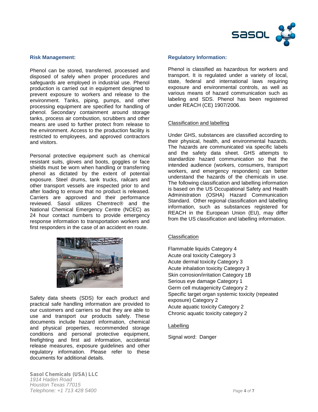

## **Risk Management:**

Phenol can be stored, transferred, processed and disposed of safely when proper procedures and safeguards are employed in industrial use. Phenol production is carried out in equipment designed to prevent exposure to workers and release to the environment. Tanks, piping, pumps, and other processing equipment are specified for handling of phenol. Secondary containment around storage tanks, process air combustion, scrubbers and other means are used to further protect from release to the environment. Access to the production facility is restricted to employees, and approved contractors and visitors.

Personal protective equipment such as chemical resistant suits, gloves and boots, goggles or face shields must be worn when handling or transferring phenol as dictated by the extent of potential exposure. Steel drums, tank trucks, railcars and other transport vessels are inspected prior to and after loading to ensure that no product is released. Carriers are approved and their performance reviewed. Sasol utilizes Chemtrec® and the National Chemical Emergency Centre (NCEC) as 24 hour contact numbers to provide emergency response information to transportation workers and first responders in the case of an accident en route.



Safety data sheets (SDS) for each product and practical safe handling information are provided to our customers and carriers so that they are able to use and transport our products safely. These documents include hazard information, chemical and physical properties, recommended storage conditions and personal protective equipment, firefighting and first aid information, accidental release measures, exposure guidelines and other regulatory information. Please refer to these documents for additional details.

#### *Sasol Chemicals (USA) LLC 1914 Haden Road Houston Texas 77015 Telephone: +1 713 428 5400 Page 4 of 7*

# **Regulatory Information:**

Phenol is classified as hazardous for workers and transport. It is regulated under a variety of local, state, federal and international laws requiring exposure and environmental controls, as well as various means of hazard communication such as labeling and SDS. Phenol has been registered under REACH (CE) 1907/2006.

## Classification and labelling

Under GHS, substances are classified according to their physical, health, and environmental hazards. The hazards are communicated via specific labels and the safety data sheet. GHS attempts to standardize hazard communication so that the intended audience (workers, consumers, transport workers, and emergency responders) can better understand the hazards of the chemicals in use. The following classification and labelling information is based on the US Occupational Safety and Health Administration (OSHA) Hazard Communication Standard. Other regional classification and labelling information, such as substances registered for REACH in the European Union (EU), may differ from the US classification and labelling information.

#### Classification

Flammable liquids Category 4 Acute oral toxicity Category 3 Acute dermal toxicity Category 3 Acute inhalation toxicity Category 3 Skin corrosion/irritation Category 1B Serious eye damage Category 1 Germ cell mutagenicity Category 2 Specific target organ systemic toxicity (repeated exposure) Category 2 Acute aquatic toxicity Category 2 Chronic aquatic toxicity category 2

#### **Labelling**

Signal word: Danger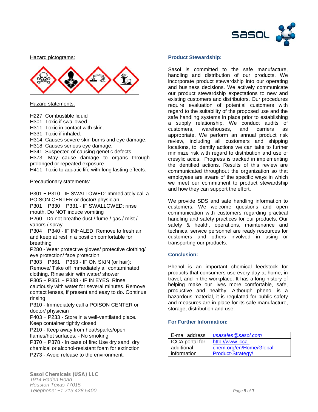

Hazard pictograms:



Hazard statements:

H227: Combustible liquid

H301: Toxic if swallowed.

H311: Toxic in contact with skin.

H331: Toxic if inhaled.

H314: Causes severe skin burns and eye damage.

H318: Causes serious eye damage.

H341: Suspected of causing genetic defects.

H373: May cause damage to organs through prolonged or repeated exposure.

H411: Toxic to aquatic life with long lasting effects.

Precautionary statements:

P301 + P310 - IF SWALLOWED: Immediately call a POISON CENTER or doctor/ physician P301 + P330 + P331 - IF SWALLOWED: rinse

mouth. Do NOT induce vomiting

P260 - Do not breathe dust / fume / gas / mist / vapors / spray

P304 + P340 - IF INHALED: Remove to fresh air and keep at rest in a position comfortable for breathing

P280 - Wear protective gloves/ protective clothing/ eye protection/ face protection

P303 + P361 + P353 - IF ON SKIN (or hair): Remove/ Take off immediately all contaminated clothing. Rinse skin with water/ shower

P305 + P351 + P338 - IF IN EYES: Rinse cautiously with water for several minutes. Remove contact lenses, if present and easy to do. Continue rinsing

P310 - Immediately call a POISON CENTER or doctor/ physician

P403 + P233 - Store in a well-ventilated place. Keep container tightly closed

P210 - Keep away from heat/sparks/open flames/hot surfaces. - No smoking

P370 + P378 - In case of fire: Use dry sand, dry chemical or alcohol-resistant foam for extinction P273 - Avoid release to the environment.

# **Product Stewardship:**

Sasol is committed to the safe manufacture, handling and distribution of our products. We incorporate product stewardship into our operating and business decisions. We actively communicate our product stewardship expectations to new and existing customers and distributors. Our procedures require evaluation of potential customers with regard to the suitability of the proposed use and the safe handling systems in place prior to establishing a supply relationship. We conduct audits of customers, warehouses, and carriers as appropriate. We perform an annual product risk review, including all customers and shipping locations, to identify actions we can take to further minimize risk with regard to distribution and use of cresylic acids. Progress is tracked in implementing the identified actions. Results of this review are communicated throughout the organization so that employees are aware of the specific ways in which we meet our commitment to product stewardship and how they can support the effort.

We provide SDS and safe handling information to customers. We welcome questions and open communication with customers regarding practical handling and safety practices for our products. Our safety & health, operations, maintenance and technical service personnel are ready resources for customers and others involved in using or transporting our products.

# **Conclusion:**

Phenol is an important chemical feedstock for products that consumers use every day at home, in travel, and in the workplace. It has a long history of helping make our lives more comfortable, safe, productive and healthy. Although phenol is a hazardous material, it is regulated for public safety and measures are in place for its safe manufacture, storage, distribution and use.

# **For Further Information:**

| E-mail address         | usasales@sasol.com       |
|------------------------|--------------------------|
| <b>ICCA</b> portal for | http://www.icca-         |
| additional             | chem.org/en/Home/Global- |
| information            | Product-Strategy/        |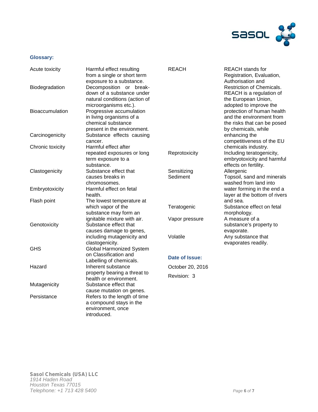

# **Glossary:**

| Acute toxicity         | Harmful effect resulting<br>from a single or short term                                                                            | <b>REACH</b>            | <b>REACH</b> stands for<br>Registration, Evaluation,                                                                                   |
|------------------------|------------------------------------------------------------------------------------------------------------------------------------|-------------------------|----------------------------------------------------------------------------------------------------------------------------------------|
| Biodegradation         | exposure to a substance.<br>Decomposition or break-<br>down of a substance under<br>natural conditions (action of                  |                         | Authorisation and<br>Restriction of Chemicals.<br>REACH is a regulation of<br>the European Union,                                      |
| <b>Bioaccumulation</b> | microorganisms etc.).<br>Progressive accumulation<br>in living organisms of a<br>chemical substance<br>present in the environment. |                         | adopted to improve the<br>protection of human health<br>and the environment from<br>the risks that can be posed<br>by chemicals, while |
| Carcinogenicity        | Substance effects causing<br>cancer.                                                                                               |                         | enhancing the<br>competitiveness of the EU                                                                                             |
| Chronic toxicity       | Harmful effect after<br>repeated exposures or long<br>term exposure to a<br>substance.                                             | Reprotoxicity           | chemicals industry.<br>Including teratogenicity,<br>embryotoxicity and harmful<br>effects on fertility.                                |
| Clastogenicity         | Substance effect that<br>causes breaks in<br>chromosomes.                                                                          | Sensitizing<br>Sediment | Allergenic<br>Topsoil, sand and minerals<br>washed from land into                                                                      |
| Embryotoxicity         | Harmful effect on fetal<br>health.                                                                                                 |                         | water forming in the end a<br>layer at the bottom of rivers                                                                            |
| Flash point            | The lowest temperature at<br>which vapor of the<br>substance may form an                                                           | Teratogenic             | and sea.<br>Substance effect on fetal<br>morphology.                                                                                   |
| Genotoxicity           | ignitable mixture with air.<br>Substance effect that<br>causes damage to genes,                                                    | Vapor pressure          | A measure of a<br>substance's property to<br>evaporate.                                                                                |
| <b>GHS</b>             | including mutagenicity and<br>clastogenicity.<br><b>Global Harmonized System</b>                                                   | Volatile                | Any substance that<br>evaporates readily.                                                                                              |
|                        | on Classification and<br>Labelling of chemicals.                                                                                   | Date of Issue:          |                                                                                                                                        |
| Hazard                 | Inherent substance                                                                                                                 | October 20, 2016        |                                                                                                                                        |
|                        | property bearing a threat to<br>health or environment.                                                                             | Revision: 3             |                                                                                                                                        |
| Mutagenicity           | Substance effect that                                                                                                              |                         |                                                                                                                                        |
| Persistance            | cause mutation on genes.<br>Refers to the length of time<br>a compound stays in the<br>environment, once<br>introduced.            |                         |                                                                                                                                        |